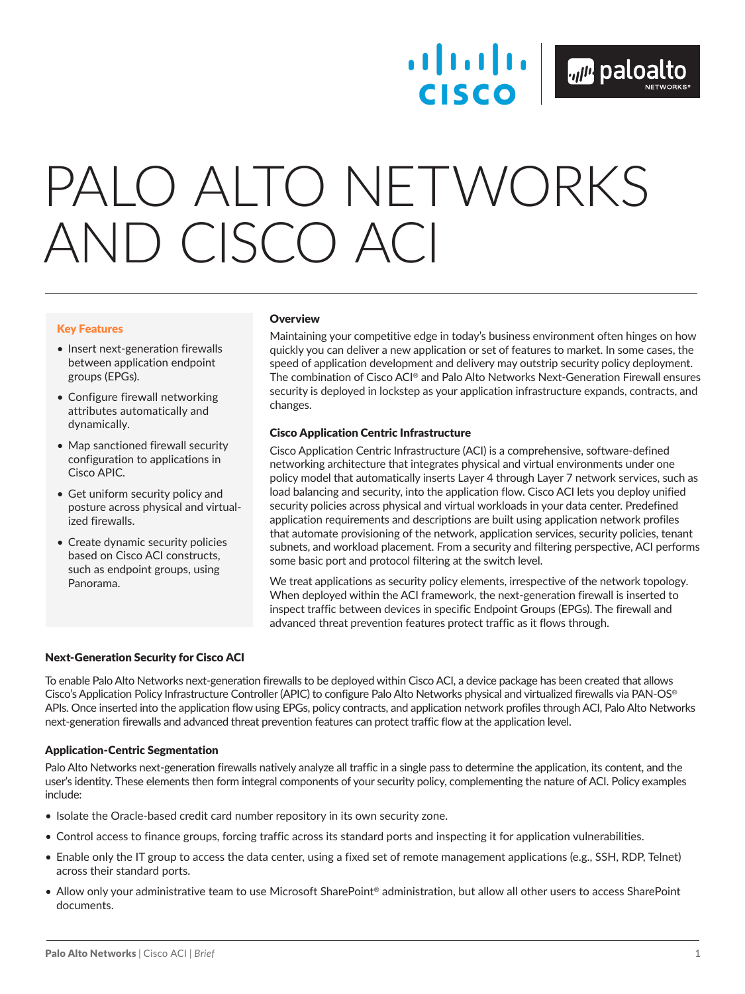**CISCO** 

# PALO ALTO NETWORKS AND CISCO ACI

### Key Features

- Insert next-generation firewalls between application endpoint groups (EPGs).
- Configure firewall networking attributes automatically and dynamically.
- Map sanctioned firewall security configuration to applications in Cisco APIC.
- Get uniform security policy and posture across physical and virtualized firewalls.
- Create dynamic security policies based on Cisco ACI constructs, such as endpoint groups, using Panorama.

# **Overview**

Maintaining your competitive edge in today's business environment often hinges on how quickly you can deliver a new application or set of features to market. In some cases, the speed of application development and delivery may outstrip security policy deployment. The combination of Cisco ACI® and Palo Alto Networks Next-Generation Firewall ensures security is deployed in lockstep as your application infrastructure expands, contracts, and changes.

# Cisco Application Centric Infrastructure

Cisco Application Centric Infrastructure (ACI) is a comprehensive, software-defined networking architecture that integrates physical and virtual environments under one policy model that automatically inserts Layer 4 through Layer 7 network services, such as load balancing and security, into the application flow. Cisco ACI lets you deploy unified security policies across physical and virtual workloads in your data center. Predefined application requirements and descriptions are built using application network profiles that automate provisioning of the network, application services, security policies, tenant subnets, and workload placement. From a security and filtering perspective, ACI performs some basic port and protocol filtering at the switch level.

We treat applications as security policy elements, irrespective of the network topology. When deployed within the ACI framework, the next-generation firewall is inserted to inspect traffic between devices in specific Endpoint Groups (EPGs). The firewall and advanced threat prevention features protect traffic as it flows through.

# Next-Generation Security for Cisco ACI

To enable Palo Alto Networks next-generation firewalls to be deployed within Cisco ACI, a device package has been created that allows Cisco's Application Policy Infrastructure Controller (APIC) to configure Palo Alto Networks physical and virtualized firewalls via PAN-OS® APIs. Once inserted into the application flow using EPGs, policy contracts, and application network profiles through ACI, Palo Alto Networks next-generation firewalls and advanced threat prevention features can protect traffic flow at the application level.

# Application-Centric Segmentation

Palo Alto Networks next-generation firewalls natively analyze all traffic in a single pass to determine the application, its content, and the user's identity. These elements then form integral components of your security policy, complementing the nature of ACI. Policy examples include:

- Isolate the Oracle-based credit card number repository in its own security zone.
- Control access to finance groups, forcing traffic across its standard ports and inspecting it for application vulnerabilities.
- Enable only the IT group to access the data center, using a fixed set of remote management applications (e.g., SSH, RDP, Telnet) across their standard ports.
- Allow only your administrative team to use Microsoft SharePoint® administration, but allow all other users to access SharePoint documents.